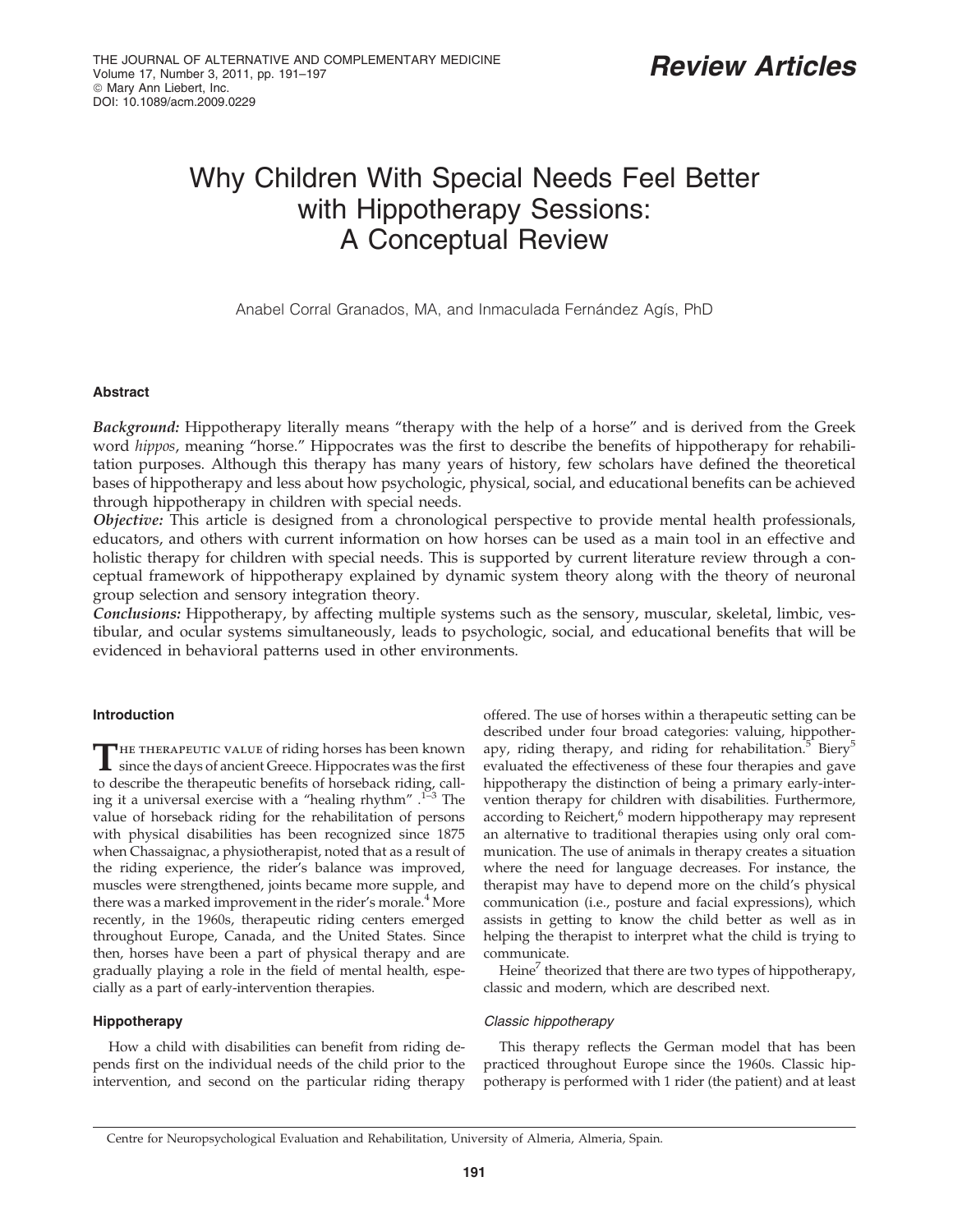# Why Children With Special Needs Feel Better with Hippotherapy Sessions: A Conceptual Review

Anabel Corral Granados, MA, and Inmaculada Fernández Agís, PhD

# Abstract

Background: Hippotherapy literally means "therapy with the help of a horse" and is derived from the Greek word hippos, meaning "horse." Hippocrates was the first to describe the benefits of hippotherapy for rehabilitation purposes. Although this therapy has many years of history, few scholars have defined the theoretical bases of hippotherapy and less about how psychologic, physical, social, and educational benefits can be achieved through hippotherapy in children with special needs.

Objective: This article is designed from a chronological perspective to provide mental health professionals, educators, and others with current information on how horses can be used as a main tool in an effective and holistic therapy for children with special needs. This is supported by current literature review through a conceptual framework of hippotherapy explained by dynamic system theory along with the theory of neuronal group selection and sensory integration theory.

Conclusions: Hippotherapy, by affecting multiple systems such as the sensory, muscular, skeletal, limbic, vestibular, and ocular systems simultaneously, leads to psychologic, social, and educational benefits that will be evidenced in behavioral patterns used in other environments.

# Introduction

THE THERAPEUTIC VALUE of riding horses has been known<br>since the days of ancient Greece. Hippocrates was the first to describe the therapeutic benefits of horseback riding, calling it a universal exercise with a "healing rhythm"  $^{1-3}$  The value of horseback riding for the rehabilitation of persons with physical disabilities has been recognized since 1875 when Chassaignac, a physiotherapist, noted that as a result of the riding experience, the rider's balance was improved, muscles were strengthened, joints became more supple, and there was a marked improvement in the rider's morale.<sup>4</sup> More recently, in the 1960s, therapeutic riding centers emerged throughout Europe, Canada, and the United States. Since then, horses have been a part of physical therapy and are gradually playing a role in the field of mental health, especially as a part of early-intervention therapies.

# Hippotherapy

How a child with disabilities can benefit from riding depends first on the individual needs of the child prior to the intervention, and second on the particular riding therapy offered. The use of horses within a therapeutic setting can be described under four broad categories: valuing, hippotherapy, riding therapy, and riding for rehabilitation.<sup>5</sup> Biery<sup>5</sup> evaluated the effectiveness of these four therapies and gave hippotherapy the distinction of being a primary early-intervention therapy for children with disabilities. Furthermore, according to Reichert,<sup>6</sup> modern hippotherapy may represent an alternative to traditional therapies using only oral communication. The use of animals in therapy creates a situation where the need for language decreases. For instance, the therapist may have to depend more on the child's physical communication (i.e., posture and facial expressions), which assists in getting to know the child better as well as in helping the therapist to interpret what the child is trying to communicate.

Heine<sup>7</sup> theorized that there are two types of hippotherapy, classic and modern, which are described next.

# Classic hippotherapy

This therapy reflects the German model that has been practiced throughout Europe since the 1960s. Classic hippotherapy is performed with 1 rider (the patient) and at least

Centre for Neuropsychological Evaluation and Rehabilitation, University of Almeria, Almeria, Spain.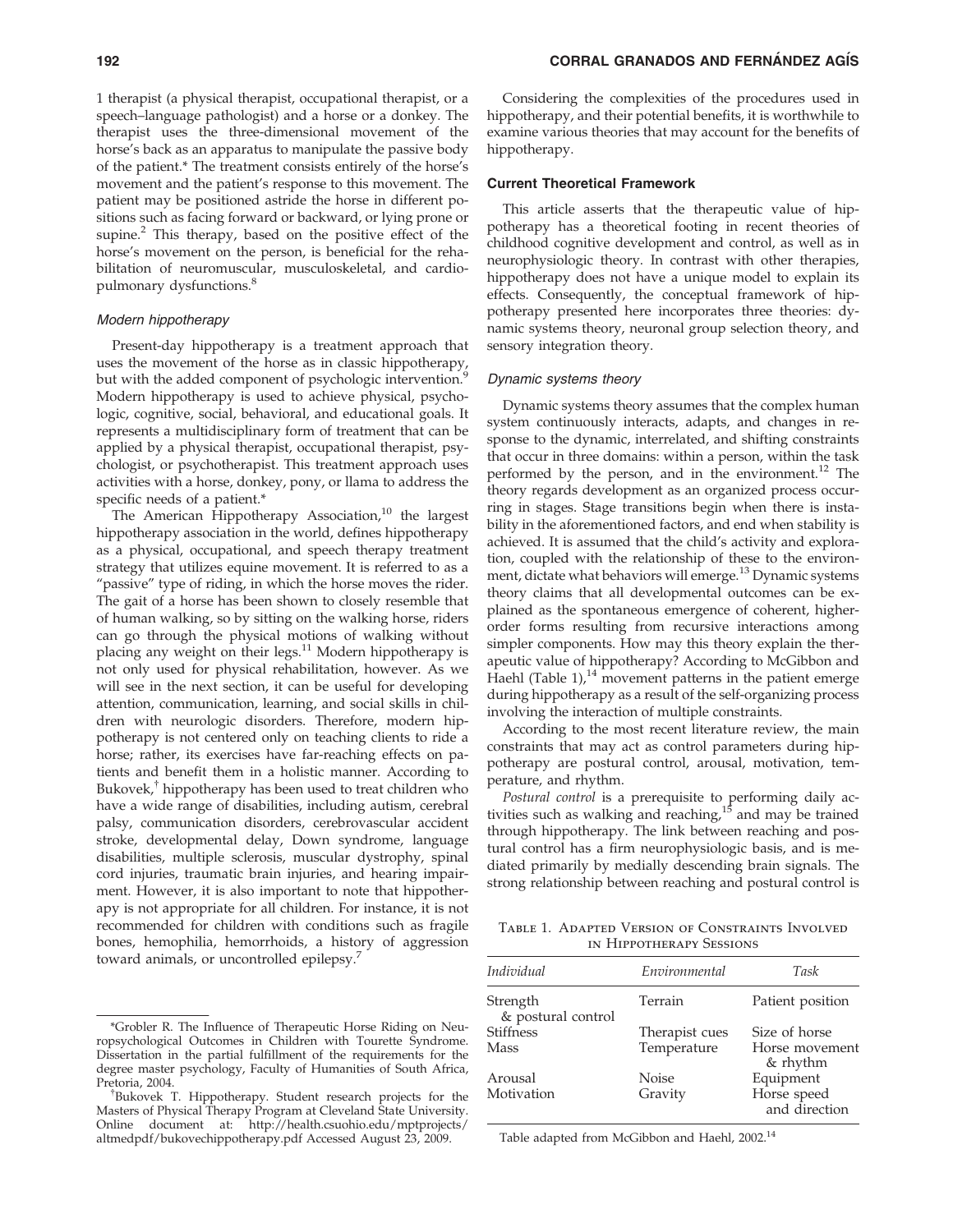1 therapist (a physical therapist, occupational therapist, or a speech–language pathologist) and a horse or a donkey. The therapist uses the three-dimensional movement of the horse's back as an apparatus to manipulate the passive body of the patient.\* The treatment consists entirely of the horse's movement and the patient's response to this movement. The patient may be positioned astride the horse in different positions such as facing forward or backward, or lying prone or supine. $^2$  This therapy, based on the positive effect of the horse's movement on the person, is beneficial for the rehabilitation of neuromuscular, musculoskeletal, and cardiopulmonary dysfunctions.<sup>8</sup>

## Modern hippotherapy

Present-day hippotherapy is a treatment approach that uses the movement of the horse as in classic hippotherapy, but with the added component of psychologic intervention.<sup>9</sup> Modern hippotherapy is used to achieve physical, psychologic, cognitive, social, behavioral, and educational goals. It represents a multidisciplinary form of treatment that can be applied by a physical therapist, occupational therapist, psychologist, or psychotherapist. This treatment approach uses activities with a horse, donkey, pony, or llama to address the specific needs of a patient.\*

The American Hippotherapy Association, $10$  the largest hippotherapy association in the world, defines hippotherapy as a physical, occupational, and speech therapy treatment strategy that utilizes equine movement. It is referred to as a "passive" type of riding, in which the horse moves the rider. The gait of a horse has been shown to closely resemble that of human walking, so by sitting on the walking horse, riders can go through the physical motions of walking without placing any weight on their legs. $^{11}$  Modern hippotherapy is not only used for physical rehabilitation, however. As we will see in the next section, it can be useful for developing attention, communication, learning, and social skills in children with neurologic disorders. Therefore, modern hippotherapy is not centered only on teaching clients to ride a horse; rather, its exercises have far-reaching effects on patients and benefit them in a holistic manner. According to Bukovek,<sup>†</sup> hippotherapy has been used to treat children who have a wide range of disabilities, including autism, cerebral palsy, communication disorders, cerebrovascular accident stroke, developmental delay, Down syndrome, language disabilities, multiple sclerosis, muscular dystrophy, spinal cord injuries, traumatic brain injuries, and hearing impairment. However, it is also important to note that hippotherapy is not appropriate for all children. For instance, it is not recommended for children with conditions such as fragile bones, hemophilia, hemorrhoids, a history of aggression toward animals, or uncontrolled epilepsy.<sup>7</sup>

Considering the complexities of the procedures used in hippotherapy, and their potential benefits, it is worthwhile to examine various theories that may account for the benefits of hippotherapy.

#### Current Theoretical Framework

This article asserts that the therapeutic value of hippotherapy has a theoretical footing in recent theories of childhood cognitive development and control, as well as in neurophysiologic theory. In contrast with other therapies, hippotherapy does not have a unique model to explain its effects. Consequently, the conceptual framework of hippotherapy presented here incorporates three theories: dynamic systems theory, neuronal group selection theory, and sensory integration theory.

#### Dynamic systems theory

Dynamic systems theory assumes that the complex human system continuously interacts, adapts, and changes in response to the dynamic, interrelated, and shifting constraints that occur in three domains: within a person, within the task performed by the person, and in the environment.<sup>12</sup> The theory regards development as an organized process occurring in stages. Stage transitions begin when there is instability in the aforementioned factors, and end when stability is achieved. It is assumed that the child's activity and exploration, coupled with the relationship of these to the environment, dictate what behaviors will emerge.<sup>13</sup> Dynamic systems theory claims that all developmental outcomes can be explained as the spontaneous emergence of coherent, higherorder forms resulting from recursive interactions among simpler components. How may this theory explain the therapeutic value of hippotherapy? According to McGibbon and Haehl (Table  $1$ ),<sup>14</sup> movement patterns in the patient emerge during hippotherapy as a result of the self-organizing process involving the interaction of multiple constraints.

According to the most recent literature review, the main constraints that may act as control parameters during hippotherapy are postural control, arousal, motivation, temperature, and rhythm.

Postural control is a prerequisite to performing daily activities such as walking and reaching, $15$  and may be trained through hippotherapy. The link between reaching and postural control has a firm neurophysiologic basis, and is mediated primarily by medially descending brain signals. The strong relationship between reaching and postural control is

Table 1. Adapted Version of Constraints Involved in Hippotherapy Sessions

| Individual                     | Environmental  | Task                         |
|--------------------------------|----------------|------------------------------|
| Strength<br>& postural control | Terrain        | Patient position             |
| Stiffness                      | Therapist cues | Size of horse                |
| Mass                           | Temperature    | Horse movement<br>& rhythm   |
| Arousal                        | Noise          | Equipment                    |
| Motivation                     | Gravity        | Horse speed<br>and direction |
|                                |                |                              |

Table adapted from McGibbon and Haehl, 2002.<sup>14</sup>

<sup>\*</sup>Grobler R. The Influence of Therapeutic Horse Riding on Neuropsychological Outcomes in Children with Tourette Syndrome. Dissertation in the partial fulfillment of the requirements for the degree master psychology, Faculty of Humanities of South Africa, Pretoria, 2004.

<sup>&</sup>lt;sup>†</sup>Bukovek T. Hippotherapy. Student research projects for the Masters of Physical Therapy Program at Cleveland State University. Online document at: http://health.csuohio.edu/mptprojects/ altmedpdf/bukovechippotherapy.pdf Accessed August 23, 2009.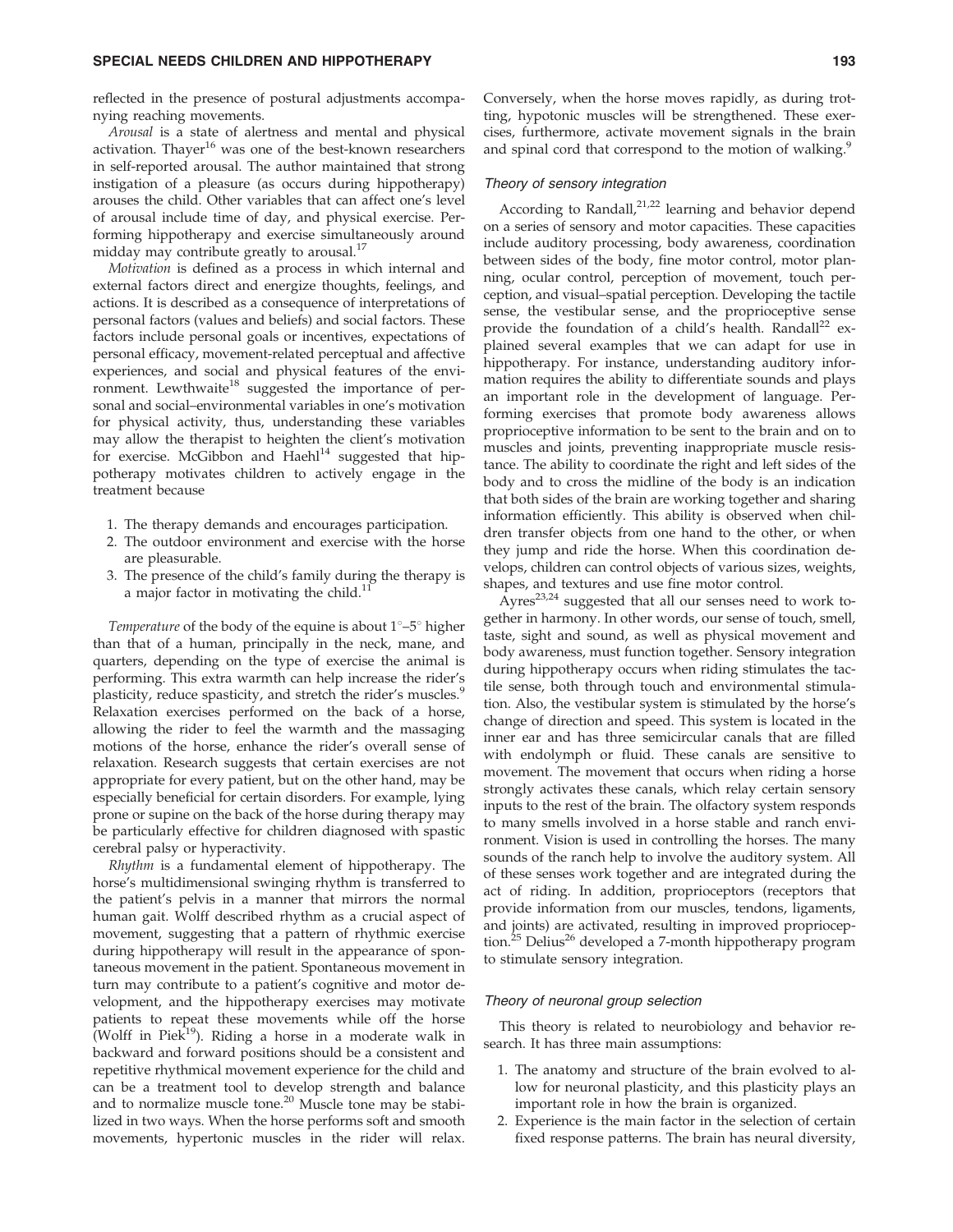reflected in the presence of postural adjustments accompanying reaching movements.

Arousal is a state of alertness and mental and physical activation. Thayer<sup>16</sup> was one of the best-known researchers in self-reported arousal. The author maintained that strong instigation of a pleasure (as occurs during hippotherapy) arouses the child. Other variables that can affect one's level of arousal include time of day, and physical exercise. Performing hippotherapy and exercise simultaneously around midday may contribute greatly to arousal.<sup>17</sup>

Motivation is defined as a process in which internal and external factors direct and energize thoughts, feelings, and actions. It is described as a consequence of interpretations of personal factors (values and beliefs) and social factors. These factors include personal goals or incentives, expectations of personal efficacy, movement-related perceptual and affective experiences, and social and physical features of the environment. Lewthwaite<sup>18</sup> suggested the importance of personal and social–environmental variables in one's motivation for physical activity, thus, understanding these variables may allow the therapist to heighten the client's motivation for exercise. McGibbon and  $Haeh1<sup>14</sup>$  suggested that hippotherapy motivates children to actively engage in the treatment because

- 1. The therapy demands and encourages participation.
- 2. The outdoor environment and exercise with the horse are pleasurable.
- 3. The presence of the child's family during the therapy is a major factor in motivating the child.<sup>11</sup>

Temperature of the body of the equine is about  $1^{\circ}$ –5 $^{\circ}$  higher than that of a human, principally in the neck, mane, and quarters, depending on the type of exercise the animal is performing. This extra warmth can help increase the rider's plasticity, reduce spasticity, and stretch the rider's muscles.<sup>9</sup> Relaxation exercises performed on the back of a horse, allowing the rider to feel the warmth and the massaging motions of the horse, enhance the rider's overall sense of relaxation. Research suggests that certain exercises are not appropriate for every patient, but on the other hand, may be especially beneficial for certain disorders. For example, lying prone or supine on the back of the horse during therapy may be particularly effective for children diagnosed with spastic cerebral palsy or hyperactivity.

Rhythm is a fundamental element of hippotherapy. The horse's multidimensional swinging rhythm is transferred to the patient's pelvis in a manner that mirrors the normal human gait. Wolff described rhythm as a crucial aspect of movement, suggesting that a pattern of rhythmic exercise during hippotherapy will result in the appearance of spontaneous movement in the patient. Spontaneous movement in turn may contribute to a patient's cognitive and motor development, and the hippotherapy exercises may motivate patients to repeat these movements while off the horse (Wolff in Piek $19$ ). Riding a horse in a moderate walk in backward and forward positions should be a consistent and repetitive rhythmical movement experience for the child and can be a treatment tool to develop strength and balance and to normalize muscle tone.<sup>20</sup> Muscle tone may be stabilized in two ways. When the horse performs soft and smooth movements, hypertonic muscles in the rider will relax. Conversely, when the horse moves rapidly, as during trotting, hypotonic muscles will be strengthened. These exercises, furthermore, activate movement signals in the brain and spinal cord that correspond to the motion of walking.<sup>9</sup>

#### Theory of sensory integration

According to Randall, $2^{1,22}$  learning and behavior depend on a series of sensory and motor capacities. These capacities include auditory processing, body awareness, coordination between sides of the body, fine motor control, motor planning, ocular control, perception of movement, touch perception, and visual–spatial perception. Developing the tactile sense, the vestibular sense, and the proprioceptive sense provide the foundation of a child's health. Randall<sup>22</sup> explained several examples that we can adapt for use in hippotherapy. For instance, understanding auditory information requires the ability to differentiate sounds and plays an important role in the development of language. Performing exercises that promote body awareness allows proprioceptive information to be sent to the brain and on to muscles and joints, preventing inappropriate muscle resistance. The ability to coordinate the right and left sides of the body and to cross the midline of the body is an indication that both sides of the brain are working together and sharing information efficiently. This ability is observed when children transfer objects from one hand to the other, or when they jump and ride the horse. When this coordination develops, children can control objects of various sizes, weights, shapes, and textures and use fine motor control.

 $Ayres<sup>23,24</sup>$  suggested that all our senses need to work together in harmony. In other words, our sense of touch, smell, taste, sight and sound, as well as physical movement and body awareness, must function together. Sensory integration during hippotherapy occurs when riding stimulates the tactile sense, both through touch and environmental stimulation. Also, the vestibular system is stimulated by the horse's change of direction and speed. This system is located in the inner ear and has three semicircular canals that are filled with endolymph or fluid. These canals are sensitive to movement. The movement that occurs when riding a horse strongly activates these canals, which relay certain sensory inputs to the rest of the brain. The olfactory system responds to many smells involved in a horse stable and ranch environment. Vision is used in controlling the horses. The many sounds of the ranch help to involve the auditory system. All of these senses work together and are integrated during the act of riding. In addition, proprioceptors (receptors that provide information from our muscles, tendons, ligaments, and joints) are activated, resulting in improved proprioception.<sup>25</sup> Delius<sup>26</sup> developed a 7-month hippotherapy program to stimulate sensory integration.

#### Theory of neuronal group selection

This theory is related to neurobiology and behavior research. It has three main assumptions:

- 1. The anatomy and structure of the brain evolved to allow for neuronal plasticity, and this plasticity plays an important role in how the brain is organized.
- 2. Experience is the main factor in the selection of certain fixed response patterns. The brain has neural diversity,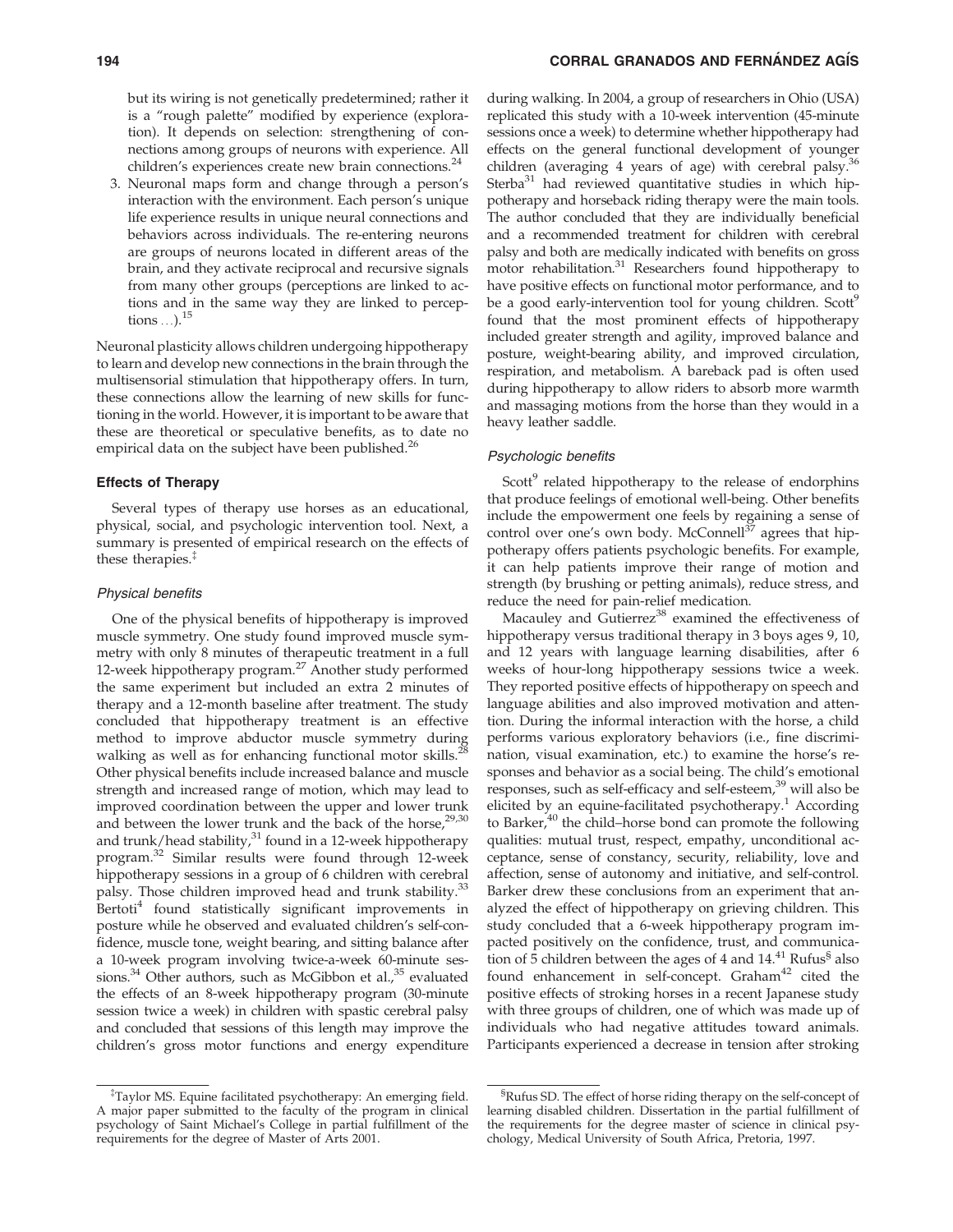but its wiring is not genetically predetermined; rather it is a ''rough palette'' modified by experience (exploration). It depends on selection: strengthening of connections among groups of neurons with experience. All children's experiences create new brain connections.<sup>24</sup>

3. Neuronal maps form and change through a person's interaction with the environment. Each person's unique life experience results in unique neural connections and behaviors across individuals. The re-entering neurons are groups of neurons located in different areas of the brain, and they activate reciprocal and recursive signals from many other groups (perceptions are linked to actions and in the same way they are linked to perceptions …).<sup>15</sup>

Neuronal plasticity allows children undergoing hippotherapy to learn and develop new connections in the brain through the multisensorial stimulation that hippotherapy offers. In turn, these connections allow the learning of new skills for functioning in the world. However, it is important to be aware that these are theoretical or speculative benefits, as to date no empirical data on the subject have been published.<sup>26</sup>

#### Effects of Therapy

Several types of therapy use horses as an educational, physical, social, and psychologic intervention tool. Next, a summary is presented of empirical research on the effects of these therapies.<sup>†</sup>

#### Physical benefits

One of the physical benefits of hippotherapy is improved muscle symmetry. One study found improved muscle symmetry with only 8 minutes of therapeutic treatment in a full 12-week hippotherapy program. $^{27}$  Another study performed the same experiment but included an extra 2 minutes of therapy and a 12-month baseline after treatment. The study concluded that hippotherapy treatment is an effective method to improve abductor muscle symmetry during walking as well as for enhancing functional motor skills.<sup>2</sup> Other physical benefits include increased balance and muscle strength and increased range of motion, which may lead to improved coordination between the upper and lower trunk and between the lower trunk and the back of the horse, $29,30$ and trunk/head stability, $31$  found in a 12-week hippotherapy program.<sup>32</sup> Similar results were found through 12-week hippotherapy sessions in a group of 6 children with cerebral palsy. Those children improved head and trunk stability.<sup>33</sup> Bertoti<sup>4</sup> found statistically significant improvements in posture while he observed and evaluated children's self-confidence, muscle tone, weight bearing, and sitting balance after a 10-week program involving twice-a-week 60-minute sessions. $34$  Other authors, such as McGibbon et al., $35$  evaluated the effects of an 8-week hippotherapy program (30-minute session twice a week) in children with spastic cerebral palsy and concluded that sessions of this length may improve the children's gross motor functions and energy expenditure during walking. In 2004, a group of researchers in Ohio (USA) replicated this study with a 10-week intervention (45-minute sessions once a week) to determine whether hippotherapy had effects on the general functional development of younger children (averaging 4 years of age) with cerebral palsy.<sup>3</sup> Sterba $31$  had reviewed quantitative studies in which hippotherapy and horseback riding therapy were the main tools. The author concluded that they are individually beneficial and a recommended treatment for children with cerebral palsy and both are medically indicated with benefits on gross motor rehabilitation.<sup>31</sup> Researchers found hippotherapy to have positive effects on functional motor performance, and to be a good early-intervention tool for young children. Scott<sup>9</sup> found that the most prominent effects of hippotherapy included greater strength and agility, improved balance and posture, weight-bearing ability, and improved circulation, respiration, and metabolism. A bareback pad is often used during hippotherapy to allow riders to absorb more warmth and massaging motions from the horse than they would in a heavy leather saddle.

#### Psychologic benefits

Scott<sup>9</sup> related hippotherapy to the release of endorphins that produce feelings of emotional well-being. Other benefits include the empowerment one feels by regaining a sense of control over one's own body. McConnell $37$  agrees that hippotherapy offers patients psychologic benefits. For example, it can help patients improve their range of motion and strength (by brushing or petting animals), reduce stress, and reduce the need for pain-relief medication.

Macauley and Gutierrez<sup>38</sup> examined the effectiveness of hippotherapy versus traditional therapy in 3 boys ages 9, 10, and 12 years with language learning disabilities, after 6 weeks of hour-long hippotherapy sessions twice a week. They reported positive effects of hippotherapy on speech and language abilities and also improved motivation and attention. During the informal interaction with the horse, a child performs various exploratory behaviors (i.e., fine discrimination, visual examination, etc.) to examine the horse's responses and behavior as a social being. The child's emotional responses, such as self-efficacy and self-esteem,<sup>39</sup> will also be elicited by an equine-facilitated psychotherapy.<sup>1</sup> According to Barker, $40$  the child–horse bond can promote the following qualities: mutual trust, respect, empathy, unconditional acceptance, sense of constancy, security, reliability, love and affection, sense of autonomy and initiative, and self-control. Barker drew these conclusions from an experiment that analyzed the effect of hippotherapy on grieving children. This study concluded that a 6-week hippotherapy program impacted positively on the confidence, trust, and communication of 5 children between the ages of 4 and  $14.^{41}$   $\rm{Rufus}^{\S}$  also found enhancement in self-concept. Graham $42$  cited the positive effects of stroking horses in a recent Japanese study with three groups of children, one of which was made up of individuals who had negative attitudes toward animals. Participants experienced a decrease in tension after stroking

<sup>{</sup> Taylor MS. Equine facilitated psychotherapy: An emerging field. A major paper submitted to the faculty of the program in clinical psychology of Saint Michael's College in partial fulfillment of the requirements for the degree of Master of Arts 2001.

<sup>§</sup> Rufus SD. The effect of horse riding therapy on the self-concept of learning disabled children. Dissertation in the partial fulfillment of the requirements for the degree master of science in clinical psychology, Medical University of South Africa, Pretoria, 1997.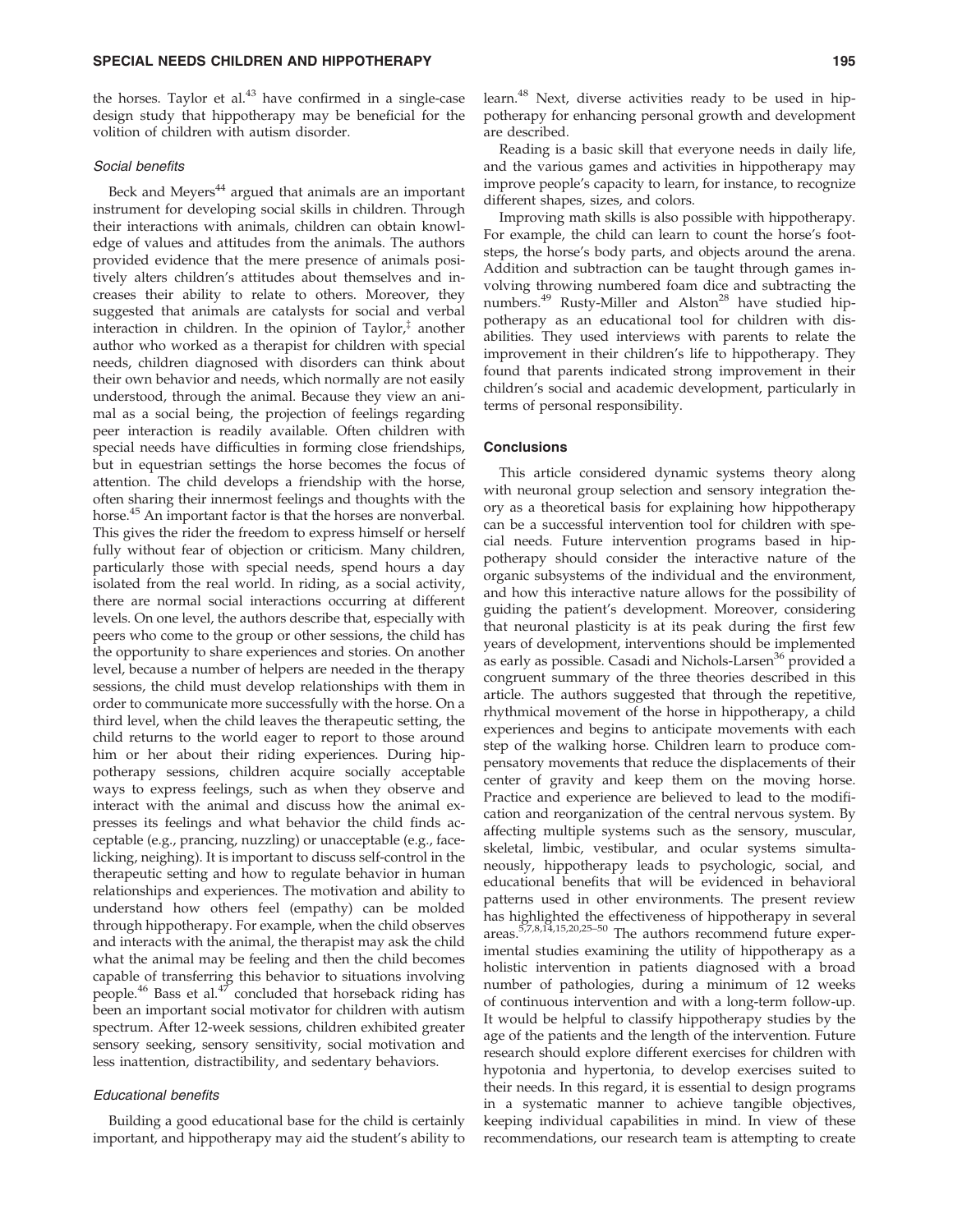#### SPECIAL NEEDS CHILDREN AND HIPPOTHERAPY 195

the horses. Taylor et al. $43$  have confirmed in a single-case design study that hippotherapy may be beneficial for the volition of children with autism disorder.

#### Social benefits

Beck and Meyers<sup>44</sup> argued that animals are an important instrument for developing social skills in children. Through their interactions with animals, children can obtain knowledge of values and attitudes from the animals. The authors provided evidence that the mere presence of animals positively alters children's attitudes about themselves and increases their ability to relate to others. Moreover, they suggested that animals are catalysts for social and verbal interaction in children. In the opinion of  $Taylor^{\dagger}$  another author who worked as a therapist for children with special needs, children diagnosed with disorders can think about their own behavior and needs, which normally are not easily understood, through the animal. Because they view an animal as a social being, the projection of feelings regarding peer interaction is readily available. Often children with special needs have difficulties in forming close friendships, but in equestrian settings the horse becomes the focus of attention. The child develops a friendship with the horse, often sharing their innermost feelings and thoughts with the horse.<sup>45</sup> An important factor is that the horses are nonverbal. This gives the rider the freedom to express himself or herself fully without fear of objection or criticism. Many children, particularly those with special needs, spend hours a day isolated from the real world. In riding, as a social activity, there are normal social interactions occurring at different levels. On one level, the authors describe that, especially with peers who come to the group or other sessions, the child has the opportunity to share experiences and stories. On another level, because a number of helpers are needed in the therapy sessions, the child must develop relationships with them in order to communicate more successfully with the horse. On a third level, when the child leaves the therapeutic setting, the child returns to the world eager to report to those around him or her about their riding experiences. During hippotherapy sessions, children acquire socially acceptable ways to express feelings, such as when they observe and interact with the animal and discuss how the animal expresses its feelings and what behavior the child finds acceptable (e.g., prancing, nuzzling) or unacceptable (e.g., facelicking, neighing). It is important to discuss self-control in the therapeutic setting and how to regulate behavior in human relationships and experiences. The motivation and ability to understand how others feel (empathy) can be molded through hippotherapy. For example, when the child observes and interacts with the animal, the therapist may ask the child what the animal may be feeling and then the child becomes capable of transferring this behavior to situations involving people.<sup>46</sup> Bass et al.<sup>47</sup> concluded that horseback riding has been an important social motivator for children with autism spectrum. After 12-week sessions, children exhibited greater sensory seeking, sensory sensitivity, social motivation and less inattention, distractibility, and sedentary behaviors.

## Educational benefits

Building a good educational base for the child is certainly important, and hippotherapy may aid the student's ability to learn.<sup>48</sup> Next, diverse activities ready to be used in hippotherapy for enhancing personal growth and development are described.

Reading is a basic skill that everyone needs in daily life, and the various games and activities in hippotherapy may improve people's capacity to learn, for instance, to recognize different shapes, sizes, and colors.

Improving math skills is also possible with hippotherapy. For example, the child can learn to count the horse's footsteps, the horse's body parts, and objects around the arena. Addition and subtraction can be taught through games involving throwing numbered foam dice and subtracting the numbers.<sup>49</sup> Rusty-Miller and Alston<sup>28</sup> have studied hippotherapy as an educational tool for children with disabilities. They used interviews with parents to relate the improvement in their children's life to hippotherapy. They found that parents indicated strong improvement in their children's social and academic development, particularly in terms of personal responsibility.

# **Conclusions**

This article considered dynamic systems theory along with neuronal group selection and sensory integration theory as a theoretical basis for explaining how hippotherapy can be a successful intervention tool for children with special needs. Future intervention programs based in hippotherapy should consider the interactive nature of the organic subsystems of the individual and the environment, and how this interactive nature allows for the possibility of guiding the patient's development. Moreover, considering that neuronal plasticity is at its peak during the first few years of development, interventions should be implemented as early as possible. Casadi and Nichols-Larsen<sup>36</sup> provided a congruent summary of the three theories described in this article. The authors suggested that through the repetitive, rhythmical movement of the horse in hippotherapy, a child experiences and begins to anticipate movements with each step of the walking horse. Children learn to produce compensatory movements that reduce the displacements of their center of gravity and keep them on the moving horse. Practice and experience are believed to lead to the modification and reorganization of the central nervous system. By affecting multiple systems such as the sensory, muscular, skeletal, limbic, vestibular, and ocular systems simultaneously, hippotherapy leads to psychologic, social, and educational benefits that will be evidenced in behavioral patterns used in other environments. The present review has highlighted the effectiveness of hippotherapy in several areas.<sup>5,7,8,14,15,20,25-50</sup> The authors recommend future experimental studies examining the utility of hippotherapy as a holistic intervention in patients diagnosed with a broad number of pathologies, during a minimum of 12 weeks of continuous intervention and with a long-term follow-up. It would be helpful to classify hippotherapy studies by the age of the patients and the length of the intervention. Future research should explore different exercises for children with hypotonia and hypertonia, to develop exercises suited to their needs. In this regard, it is essential to design programs in a systematic manner to achieve tangible objectives, keeping individual capabilities in mind. In view of these recommendations, our research team is attempting to create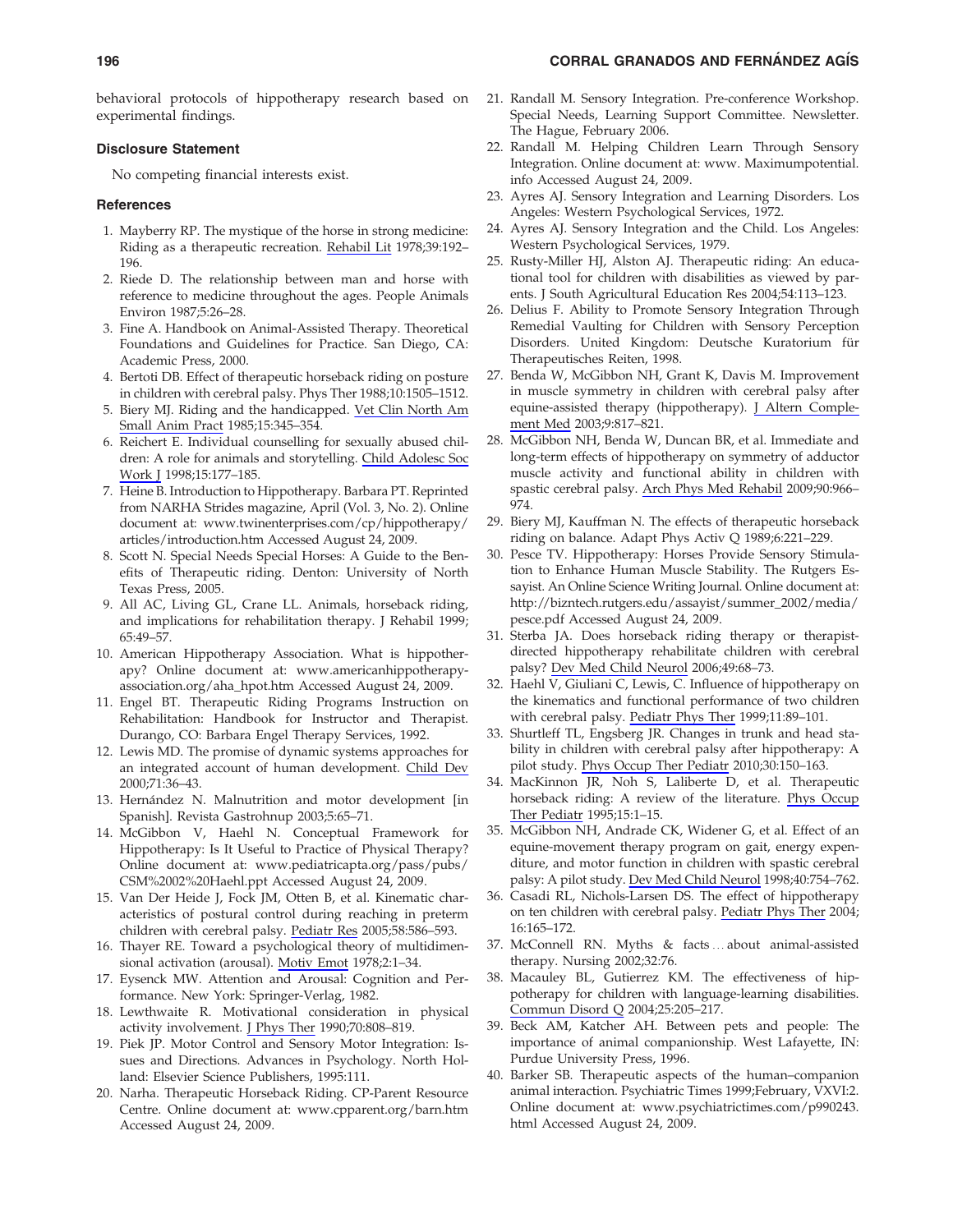behavioral protocols of hippotherapy research based on experimental findings.

# Disclosure Statement

No competing financial interests exist.

# **References**

- 1. Mayberry RP. The mystique of the horse in strong medicine: Riding as a therapeutic recreation. Rehabil Lit 1978;39:192– 196.
- 2. Riede D. The relationship between man and horse with reference to medicine throughout the ages. People Animals Environ 1987;5:26–28.
- 3. Fine A. Handbook on Animal-Assisted Therapy. Theoretical Foundations and Guidelines for Practice. San Diego, CA: Academic Press, 2000.
- 4. Bertoti DB. Effect of therapeutic horseback riding on posture in children with cerebral palsy. Phys Ther 1988;10:1505–1512.
- 5. Biery MJ. Riding and the handicapped. Vet Clin North Am Small Anim Pract 1985;15:345–354.
- 6. Reichert E. Individual counselling for sexually abused children: A role for animals and storytelling. Child Adolesc Soc Work J 1998;15:177–185.
- 7. Heine B. Introduction to Hippotherapy. Barbara PT. Reprinted from NARHA Strides magazine, April (Vol. 3, No. 2). Online document at: www.twinenterprises.com/cp/hippotherapy/ articles/introduction.htm Accessed August 24, 2009.
- 8. Scott N. Special Needs Special Horses: A Guide to the Benefits of Therapeutic riding. Denton: University of North Texas Press, 2005.
- 9. All AC, Living GL, Crane LL. Animals, horseback riding, and implications for rehabilitation therapy. J Rehabil 1999; 65:49–57.
- 10. American Hippotherapy Association. What is hippotherapy? Online document at: www.americanhippotherapyassociation.org/aha\_hpot.htm Accessed August 24, 2009.
- 11. Engel BT. Therapeutic Riding Programs Instruction on Rehabilitation: Handbook for Instructor and Therapist. Durango, CO: Barbara Engel Therapy Services, 1992.
- 12. Lewis MD. The promise of dynamic systems approaches for an integrated account of human development. Child Dev 2000;71:36–43.
- 13. Hernández N. Malnutrition and motor development [in Spanish]. Revista Gastrohnup 2003;5:65–71.
- 14. McGibbon V, Haehl N. Conceptual Framework for Hippotherapy: Is It Useful to Practice of Physical Therapy? Online document at: www.pediatricapta.org/pass/pubs/ CSM%2002%20Haehl.ppt Accessed August 24, 2009.
- 15. Van Der Heide J, Fock JM, Otten B, et al. Kinematic characteristics of postural control during reaching in preterm children with cerebral palsy. Pediatr Res 2005;58:586–593.
- 16. Thayer RE. Toward a psychological theory of multidimensional activation (arousal). Motiv Emot 1978;2:1–34.
- 17. Eysenck MW. Attention and Arousal: Cognition and Performance. New York: Springer-Verlag, 1982.
- 18. Lewthwaite R. Motivational consideration in physical activity involvement. J Phys Ther 1990;70:808–819.
- 19. Piek JP. Motor Control and Sensory Motor Integration: Issues and Directions. Advances in Psychology. North Holland: Elsevier Science Publishers, 1995:111.
- 20. Narha. Therapeutic Horseback Riding. CP-Parent Resource Centre. Online document at: www.cpparent.org/barn.htm Accessed August 24, 2009.
- 21. Randall M. Sensory Integration. Pre-conference Workshop. Special Needs, Learning Support Committee. Newsletter. The Hague, February 2006.
- 22. Randall M. Helping Children Learn Through Sensory Integration. Online document at: www. Maximumpotential. info Accessed August 24, 2009.
- 23. Ayres AJ. Sensory Integration and Learning Disorders. Los Angeles: Western Psychological Services, 1972.
- 24. Ayres AJ. Sensory Integration and the Child. Los Angeles: Western Psychological Services, 1979.
- 25. Rusty-Miller HJ, Alston AJ. Therapeutic riding: An educational tool for children with disabilities as viewed by parents. J South Agricultural Education Res 2004;54:113–123.
- 26. Delius F. Ability to Promote Sensory Integration Through Remedial Vaulting for Children with Sensory Perception Disorders. United Kingdom: Deutsche Kuratorium für Therapeutisches Reiten, 1998.
- 27. Benda W, McGibbon NH, Grant K, Davis M. Improvement in muscle symmetry in children with cerebral palsy after equine-assisted therapy (hippotherapy). J Altern Complement Med 2003;9:817–821.
- 28. McGibbon NH, Benda W, Duncan BR, et al. Immediate and long-term effects of hippotherapy on symmetry of adductor muscle activity and functional ability in children with spastic cerebral palsy. Arch Phys Med Rehabil 2009;90:966– 974.
- 29. Biery MJ, Kauffman N. The effects of therapeutic horseback riding on balance. Adapt Phys Activ Q 1989;6:221–229.
- 30. Pesce TV. Hippotherapy: Horses Provide Sensory Stimulation to Enhance Human Muscle Stability. The Rutgers Essayist. An Online Science Writing Journal. Online document at: http://bizntech.rutgers.edu/assayist/summer\_2002/media/ pesce.pdf Accessed August 24, 2009.
- 31. Sterba JA. Does horseback riding therapy or therapistdirected hippotherapy rehabilitate children with cerebral palsy? Dev Med Child Neurol 2006;49:68–73.
- 32. Haehl V, Giuliani C, Lewis, C. Influence of hippotherapy on the kinematics and functional performance of two children with cerebral palsy. Pediatr Phys Ther 1999;11:89–101.
- 33. Shurtleff TL, Engsberg JR. Changes in trunk and head stability in children with cerebral palsy after hippotherapy: A pilot study. Phys Occup Ther Pediatr 2010;30:150–163.
- 34. MacKinnon JR, Noh S, Laliberte D, et al. Therapeutic horseback riding: A review of the literature. Phys Occup Ther Pediatr 1995;15:1–15.
- 35. McGibbon NH, Andrade CK, Widener G, et al. Effect of an equine-movement therapy program on gait, energy expenditure, and motor function in children with spastic cerebral palsy: A pilot study. Dev Med Child Neurol 1998;40:754–762.
- 36. Casadi RL, Nichols-Larsen DS. The effect of hippotherapy on ten children with cerebral palsy. Pediatr Phys Ther 2004; 16:165–172.
- 37. McConnell RN. Myths & facts… about animal-assisted therapy. Nursing 2002;32:76.
- 38. Macauley BL, Gutierrez KM. The effectiveness of hippotherapy for children with language-learning disabilities. Commun Disord Q 2004;25:205–217.
- 39. Beck AM, Katcher AH. Between pets and people: The importance of animal companionship. West Lafayette, IN: Purdue University Press, 1996.
- 40. Barker SB. Therapeutic aspects of the human–companion animal interaction. Psychiatric Times 1999;February, VXVI:2. Online document at: www.psychiatrictimes.com/p990243. html Accessed August 24, 2009.